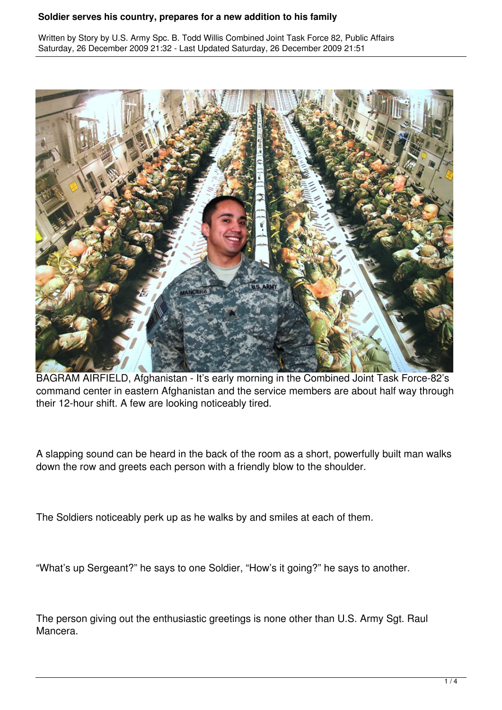Written by Story by U.S. Army Spc. B. Todd Willis Combined Joint Task Force 82, Public Affairs Saturday, 26 December 2009 21:32 - Last Updated Saturday, 26 December 2009 21:51



BAGRAM AIRFIELD, Afghanistan - It's early morning in the Combined Joint Task Force-82's command center in eastern Afghanistan and the service members are about half way through their 12-hour shift. A few are looking noticeably tired.

A slapping sound can be heard in the back of the room as a short, powerfully built man walks down the row and greets each person with a friendly blow to the shoulder.

The Soldiers noticeably perk up as he walks by and smiles at each of them.

"What's up Sergeant?" he says to one Soldier, "How's it going?" he says to another.

The person giving out the enthusiastic greetings is none other than U.S. Army Sgt. Raul Mancera.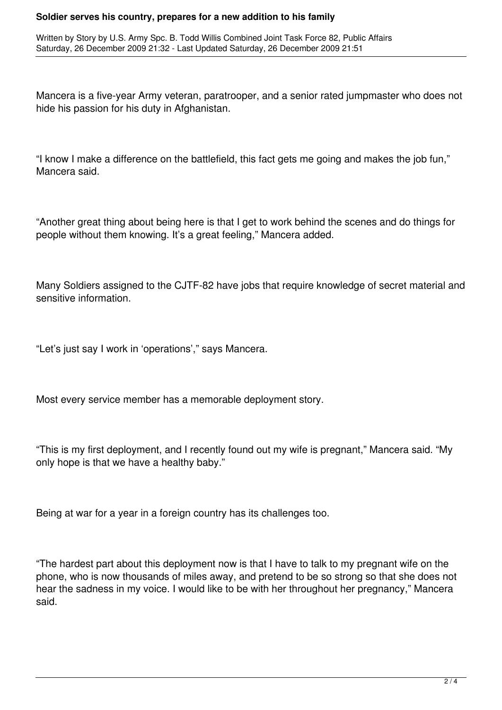Written by Story by U.S. Army Spc. B. Todd Willis Combined Joint Task Force 82, Public Affairs Saturday, 26 December 2009 21:32 - Last Updated Saturday, 26 December 2009 21:51

Mancera is a five-year Army veteran, paratrooper, and a senior rated jumpmaster who does not hide his passion for his duty in Afghanistan.

"I know I make a difference on the battlefield, this fact gets me going and makes the job fun," Mancera said.

"Another great thing about being here is that I get to work behind the scenes and do things for people without them knowing. It's a great feeling," Mancera added.

Many Soldiers assigned to the CJTF-82 have jobs that require knowledge of secret material and sensitive information.

"Let's just say I work in 'operations'," says Mancera.

Most every service member has a memorable deployment story.

"This is my first deployment, and I recently found out my wife is pregnant," Mancera said. "My only hope is that we have a healthy baby."

Being at war for a year in a foreign country has its challenges too.

"The hardest part about this deployment now is that I have to talk to my pregnant wife on the phone, who is now thousands of miles away, and pretend to be so strong so that she does not hear the sadness in my voice. I would like to be with her throughout her pregnancy," Mancera said.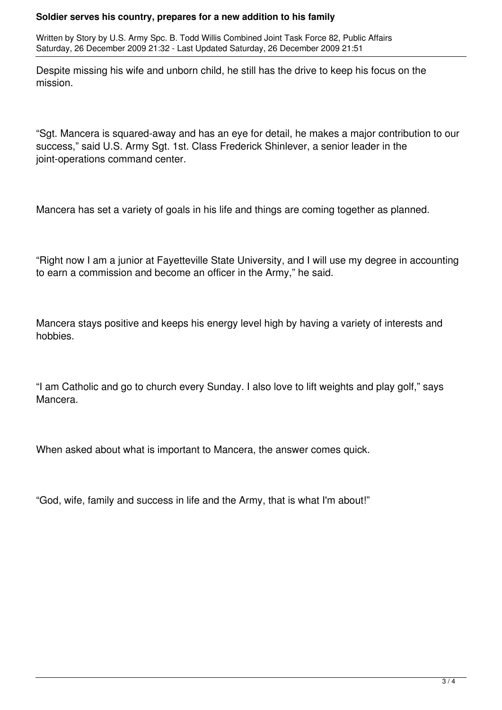Written by Story by U.S. Army Spc. B. Todd Willis Combined Joint Task Force 82, Public Affairs Saturday, 26 December 2009 21:32 - Last Updated Saturday, 26 December 2009 21:51

Despite missing his wife and unborn child, he still has the drive to keep his focus on the mission.

"Sgt. Mancera is squared-away and has an eye for detail, he makes a major contribution to our success," said U.S. Army Sgt. 1st. Class Frederick Shinlever, a senior leader in the joint-operations command center.

Mancera has set a variety of goals in his life and things are coming together as planned.

"Right now I am a junior at Fayetteville State University, and I will use my degree in accounting to earn a commission and become an officer in the Army," he said.

Mancera stays positive and keeps his energy level high by having a variety of interests and hobbies.

"I am Catholic and go to church every Sunday. I also love to lift weights and play golf," says Mancera.

When asked about what is important to Mancera, the answer comes quick.

"God, wife, family and success in life and the Army, that is what I'm about!"